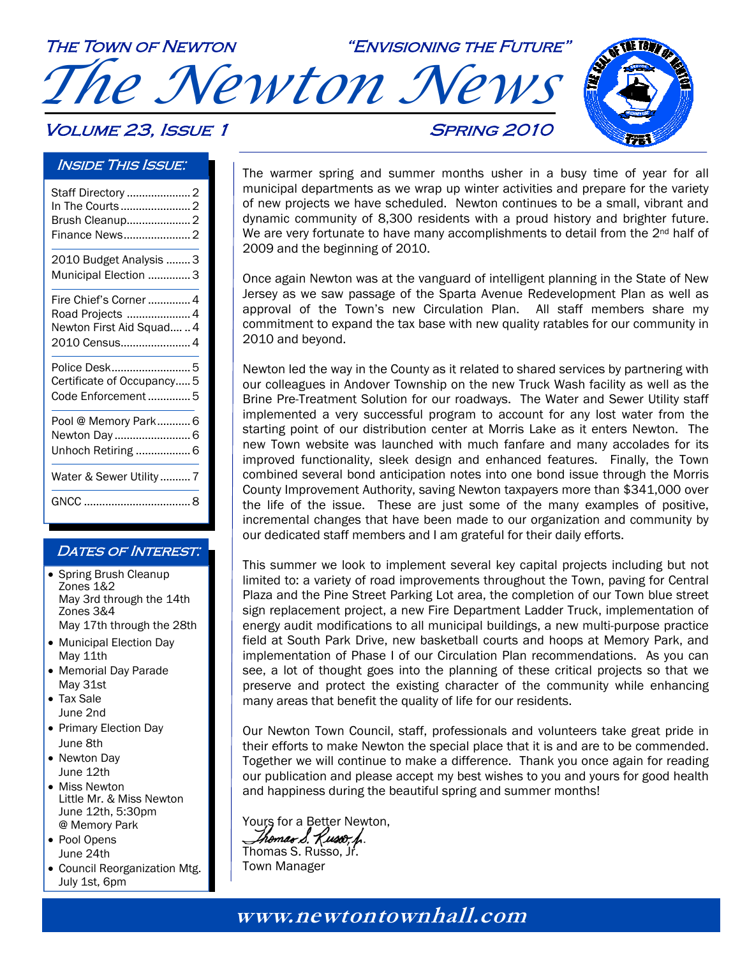The Town of Newton "Envisioning the Future" *The Newton News*  **VOLUME 23, ISSUE 1 SPRING 2010** 

### Inside This Issue:

| Staff Directory  2<br>In The Courts  2                                                   |
|------------------------------------------------------------------------------------------|
| 2010 Budget Analysis  3<br>Municipal Election 3                                          |
| Fire Chief's Corner  4<br>Road Projects  4<br>Newton First Aid Squad  4<br>2010 Census 4 |
| Police Desk 5<br>Certificate of Occupancy 5<br>Code Enforcement  5                       |
| Pool @ Memory Park 6<br>Newton Day6<br>Unhoch Retiring  6                                |
| Water & Sewer Utility  7                                                                 |
|                                                                                          |

### DATES OF INTEREST:

- Spring Brush Cleanup Zones 1&2 May 3rd through the 14th Zones 3&4 May 17th through the 28th
- Municipal Election Day May 11th
- Memorial Day Parade May 31st
- Tax Sale June 2nd
- Primary Election Day June 8th
- Newton Day June 12th
- Miss Newton Little Mr. & Miss Newton June 12th, 5:30pm @ Memory Park
- Pool Opens June 24th
- Council Reorganization Mtg. July 1st, 6pm



The warmer spring and summer months usher in a busy time of year for all municipal departments as we wrap up winter activities and prepare for the variety of new projects we have scheduled. Newton continues to be a small, vibrant and dynamic community of 8,300 residents with a proud history and brighter future. We are very fortunate to have many accomplishments to detail from the  $2^{nd}$  half of 2009 and the beginning of 2010.

Once again Newton was at the vanguard of intelligent planning in the State of New Jersey as we saw passage of the Sparta Avenue Redevelopment Plan as well as approval of the Town's new Circulation Plan. All staff members share my commitment to expand the tax base with new quality ratables for our community in 2010 and beyond.

Newton led the way in the County as it related to shared services by partnering with our colleagues in Andover Township on the new Truck Wash facility as well as the Brine Pre-Treatment Solution for our roadways. The Water and Sewer Utility staff implemented a very successful program to account for any lost water from the starting point of our distribution center at Morris Lake as it enters Newton. The new Town website was launched with much fanfare and many accolades for its improved functionality, sleek design and enhanced features. Finally, the Town combined several bond anticipation notes into one bond issue through the Morris County Improvement Authority, saving Newton taxpayers more than \$341,000 over the life of the issue. These are just some of the many examples of positive, incremental changes that have been made to our organization and community by our dedicated staff members and I am grateful for their daily efforts.

This summer we look to implement several key capital projects including but not limited to: a variety of road improvements throughout the Town, paving for Central Plaza and the Pine Street Parking Lot area, the completion of our Town blue street sign replacement project, a new Fire Department Ladder Truck, implementation of energy audit modifications to all municipal buildings, a new multi-purpose practice field at South Park Drive, new basketball courts and hoops at Memory Park, and implementation of Phase I of our Circulation Plan recommendations. As you can see, a lot of thought goes into the planning of these critical projects so that we preserve and protect the existing character of the community while enhancing many areas that benefit the quality of life for our residents.

Our Newton Town Council, staff, professionals and volunteers take great pride in their efforts to make Newton the special place that it is and are to be commended. Together we will continue to make a difference. Thank you once again for reading our publication and please accept my best wishes to you and yours for good health and happiness during the beautiful spring and summer months!

Yours for a Better Newton, Ihomas 8. Kusoo, h. Thomas S. Russo, Jr. Town Manager

**www.newtontownhall.com www.newtontownhall.com**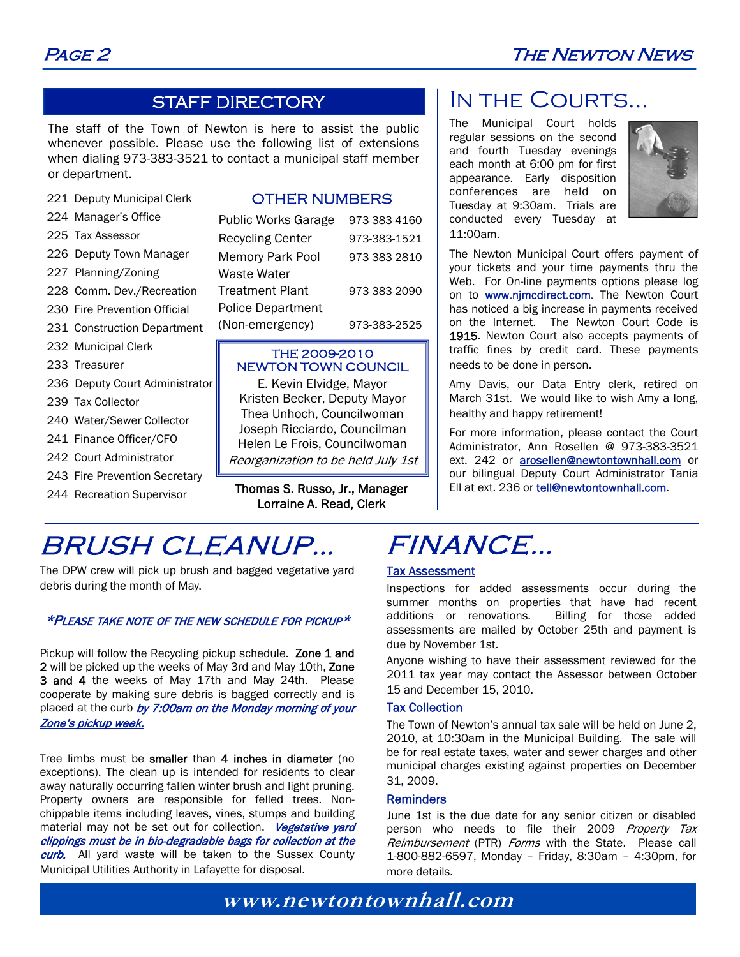### STAFF DIRECTORY

The staff of the Town of Newton is here to assist the public whenever possible. Please use the following list of extensions when dialing 973-383-3521 to contact a municipal staff member or department.

221 Deputy Municipal Clerk

#### 224 Manager's Office

- 225 Tax Assessor
- 226 Deputy Town Manager
- 227 Planning/Zoning
- 228 Comm. Dev./Recreation
- 230 Fire Prevention Official
- 231 Construction Department
- 232 Municipal Clerk
- 233 Treasurer
- 236 Deputy Court Administrator
- 239 Tax Collector
- 240 Water/Sewer Collector
- 241 Finance Officer/CFO
- 242 Court Administrator
- 243 Fire Prevention Secretary
- 244 Recreation Supervisor

### OTHER NUMBERS

| <b>Public Works Garage</b> | 973-383-4160 |
|----------------------------|--------------|
| <b>Recycling Center</b>    | 973-383-1521 |
| <b>Memory Park Pool</b>    | 973-383-2810 |
| Waste Water                |              |
| <b>Treatment Plant</b>     | 973-383-2090 |
| <b>Police Department</b>   |              |
| (Non-emergency)            | 973-383-2525 |

### THE 2009-2010 NEWTON TOWN COUNCIL

E. Kevin Elvidge, Mayor Kristen Becker, Deputy Mayor Thea Unhoch, Councilwoman Joseph Ricciardo, Councilman Helen Le Frois, Councilwoman Reorganization to be held July 1st

Thomas S. Russo, Jr., Manager Lorraine A. Read, Clerk

## BRUSH CLEANUP…

The DPW crew will pick up brush and bagged vegetative yard debris during the month of May.

### \*PLEASE TAKE NOTE OF THE NEW SCHEDULE FOR PICKUP\*

Pickup will follow the Recycling pickup schedule. Zone 1 and 2 will be picked up the weeks of May 3rd and May 10th, Zone 3 and 4 the weeks of May 17th and May 24th. Please cooperate by making sure debris is bagged correctly and is placed at the curb by 7:00am on the Monday morning of your Zone's pickup week.

Tree limbs must be smaller than 4 inches in diameter (no exceptions). The clean up is intended for residents to clear away naturally occurring fallen winter brush and light pruning. Property owners are responsible for felled trees. Nonchippable items including leaves, vines, stumps and building material may not be set out for collection. Vegetative vard clippings must be in bio-degradable bags for collection at the curb. All yard waste will be taken to the Sussex County Municipal Utilities Authority in Lafayette for disposal.

### IN THE COURTS...

The Municipal Court holds regular sessions on the second and fourth Tuesday evenings each month at 6:00 pm for first appearance. Early disposition conferences are held on Tuesday at 9:30am. Trials are conducted every Tuesday at 11:00am.



The Newton Municipal Court offers payment of your tickets and your time payments thru the Web. For On-line payments options please log on to **www.njmcdirect.com**. The Newton Court has noticed a big increase in payments received on the Internet. The Newton Court Code is 1915. Newton Court also accepts payments of traffic fines by credit card. These payments needs to be done in person.

Amy Davis, our Data Entry clerk, retired on March 31st. We would like to wish Amy a long, healthy and happy retirement!

For more information, please contact the Court Administrator, Ann Rosellen @ 973-383-3521 ext. 242 or arosellen@newtontownhall.com or our bilingual Deputy Court Administrator Tania Ell at ext. 236 or tell@newtontownhall.com.

## FINANCE…

### Tax Assessment

Inspections for added assessments occur during the summer months on properties that have had recent additions or renovations. Billing for those added assessments are mailed by October 25th and payment is due by November 1st.

Anyone wishing to have their assessment reviewed for the 2011 tax year may contact the Assessor between October 15 and December 15, 2010.

### Tax Collection

The Town of Newton's annual tax sale will be held on June 2, 2010, at 10:30am in the Municipal Building. The sale will be for real estate taxes, water and sewer charges and other municipal charges existing against properties on December 31, 2009.

### Reminders

June 1st is the due date for any senior citizen or disabled person who needs to file their 2009 Property Tax Reimbursement (PTR) Forms with the State. Please call 1-800-882-6597, Monday – Friday, 8:30am – 4:30pm, for more details.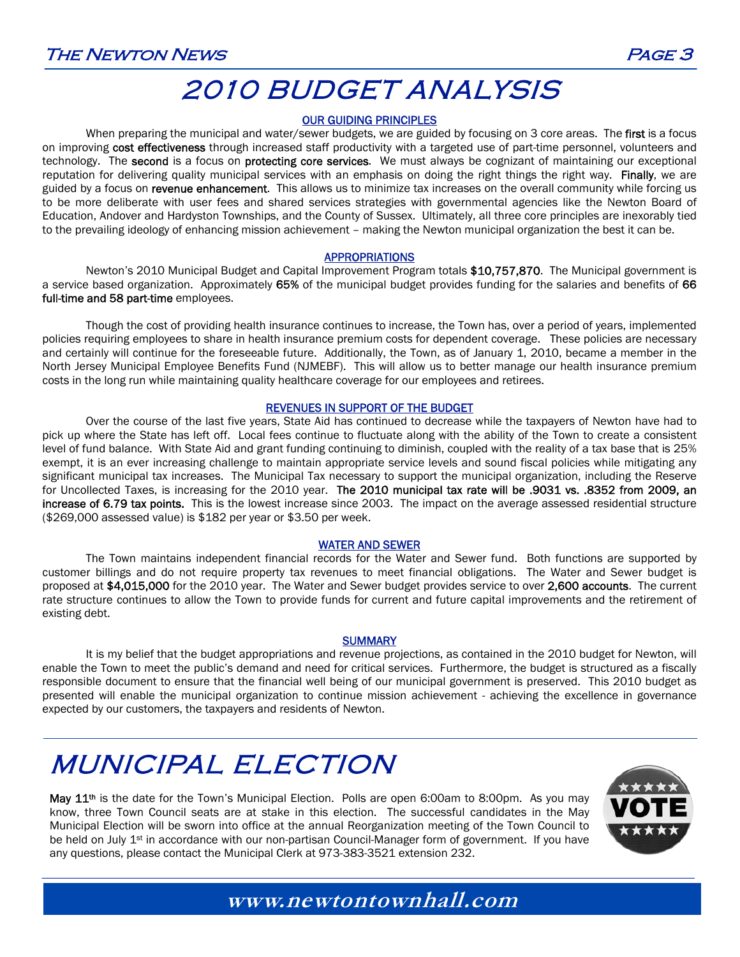## 2010 BUDGET ANALYSIS

### OUR GUIDING PRINCIPLES

When preparing the municipal and water/sewer budgets, we are guided by focusing on 3 core areas. The first is a focus on improving cost effectiveness through increased staff productivity with a targeted use of part-time personnel, volunteers and technology. The second is a focus on protecting core services. We must always be cognizant of maintaining our exceptional reputation for delivering quality municipal services with an emphasis on doing the right things the right way. Finally, we are guided by a focus on revenue enhancement. This allows us to minimize tax increases on the overall community while forcing us to be more deliberate with user fees and shared services strategies with governmental agencies like the Newton Board of Education, Andover and Hardyston Townships, and the County of Sussex. Ultimately, all three core principles are inexorably tied to the prevailing ideology of enhancing mission achievement – making the Newton municipal organization the best it can be.

#### APPROPRIATIONS

Newton's 2010 Municipal Budget and Capital Improvement Program totals \$10,757,870. The Municipal government is a service based organization. Approximately 65% of the municipal budget provides funding for the salaries and benefits of 66 full-time and 58 part-time employees.

 Though the cost of providing health insurance continues to increase, the Town has, over a period of years, implemented policies requiring employees to share in health insurance premium costs for dependent coverage. These policies are necessary and certainly will continue for the foreseeable future. Additionally, the Town, as of January 1, 2010, became a member in the North Jersey Municipal Employee Benefits Fund (NJMEBF). This will allow us to better manage our health insurance premium costs in the long run while maintaining quality healthcare coverage for our employees and retirees.

### REVENUES IN SUPPORT OF THE BUDGET

Over the course of the last five years, State Aid has continued to decrease while the taxpayers of Newton have had to pick up where the State has left off. Local fees continue to fluctuate along with the ability of the Town to create a consistent level of fund balance. With State Aid and grant funding continuing to diminish, coupled with the reality of a tax base that is 25% exempt, it is an ever increasing challenge to maintain appropriate service levels and sound fiscal policies while mitigating any significant municipal tax increases. The Municipal Tax necessary to support the municipal organization, including the Reserve for Uncollected Taxes, is increasing for the 2010 year. The 2010 municipal tax rate will be .9031 vs. .8352 from 2009, an increase of 6.79 tax points. This is the lowest increase since 2003. The impact on the average assessed residential structure (\$269,000 assessed value) is \$182 per year or \$3.50 per week.

### WATER AND SEWER

The Town maintains independent financial records for the Water and Sewer fund. Both functions are supported by customer billings and do not require property tax revenues to meet financial obligations. The Water and Sewer budget is proposed at \$4,015,000 for the 2010 year. The Water and Sewer budget provides service to over 2,600 accounts. The current rate structure continues to allow the Town to provide funds for current and future capital improvements and the retirement of existing debt.

### **SUMMARY**

It is my belief that the budget appropriations and revenue projections, as contained in the 2010 budget for Newton, will enable the Town to meet the public's demand and need for critical services. Furthermore, the budget is structured as a fiscally responsible document to ensure that the financial well being of our municipal government is preserved. This 2010 budget as presented will enable the municipal organization to continue mission achievement - achieving the excellence in governance expected by our customers, the taxpayers and residents of Newton.

## MUNICIPAL ELECTION

May 11<sup>th</sup> is the date for the Town's Municipal Election. Polls are open 6:00am to 8:00pm. As you may know, three Town Council seats are at stake in this election. The successful candidates in the May Municipal Election will be sworn into office at the annual Reorganization meeting of the Town Council to be held on July 1<sup>st</sup> in accordance with our non-partisan Council-Manager form of government. If you have any questions, please contact the Municipal Clerk at 973-383-3521 extension 232.

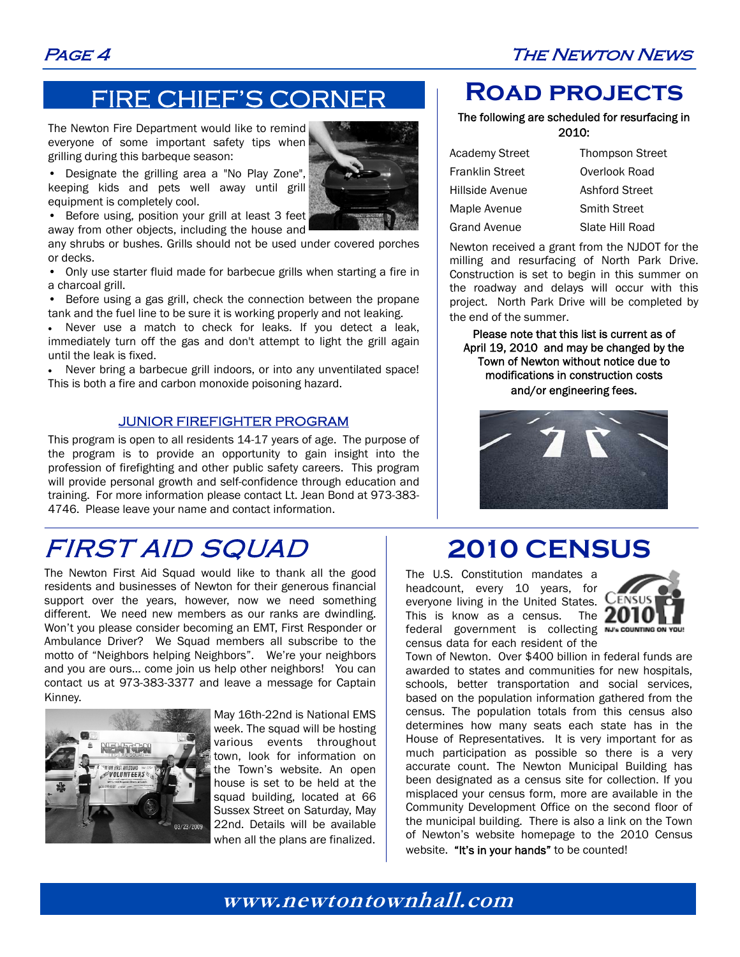### Page 4 The Newton News

## FIRE CHIEF'S CORNER

The Newton Fire Department would like to remind everyone of some important safety tips when grilling during this barbeque season:

• Designate the grilling area a "No Play Zone", keeping kids and pets well away until grill

• Before using, position your grill at least 3 feet away from other objects, including the house and

equipment is completely cool.

any shrubs or bushes. Grills should not be used under covered porches or decks.

• Only use starter fluid made for barbecue grills when starting a fire in a charcoal grill.

Before using a gas grill, check the connection between the propane tank and the fuel line to be sure it is working properly and not leaking.

• Never use a match to check for leaks. If you detect a leak, immediately turn off the gas and don't attempt to light the grill again until the leak is fixed.

• Never bring a barbecue grill indoors, or into any unventilated space! This is both a fire and carbon monoxide poisoning hazard.

### JUNIOR FIREFIGHTER PROGRAM

This program is open to all residents 14-17 years of age. The purpose of the program is to provide an opportunity to gain insight into the profession of firefighting and other public safety careers. This program will provide personal growth and self-confidence through education and training. For more information please contact Lt. Jean Bond at 973-383- 4746. Please leave your name and contact information.

## FIRST AID SQUAD

The Newton First Aid Squad would like to thank all the good residents and businesses of Newton for their generous financial support over the years, however, now we need something different. We need new members as our ranks are dwindling. Won't you please consider becoming an EMT, First Responder or Ambulance Driver? We Squad members all subscribe to the motto of "Neighbors helping Neighbors". We're your neighbors and you are ours… come join us help other neighbors! You can contact us at 973-383-3377 and leave a message for Captain Kinney.



May 16th-22nd is National EMS week. The squad will be hosting various events throughout town, look for information on the Town's website. An open house is set to be held at the squad building, located at 66 Sussex Street on Saturday, May 22nd. Details will be available when all the plans are finalized.

### **Road projects**

#### The following are scheduled for resurfacing in 2010:

| <b>Academy Street</b>  | <b>Thompson Street</b> |  |
|------------------------|------------------------|--|
| <b>Franklin Street</b> | Overlook Road          |  |
| Hillside Avenue        | Ashford Street         |  |
| Maple Avenue           | <b>Smith Street</b>    |  |
| <b>Grand Avenue</b>    | Slate Hill Road        |  |

Newton received a grant from the NJDOT for the milling and resurfacing of North Park Drive. Construction is set to begin in this summer on the roadway and delays will occur with this project. North Park Drive will be completed by the end of the summer.

Please note that this list is current as of April 19, 2010 and may be changed by the Town of Newton without notice due to modifications in construction costs and/or engineering fees.



## **2010 CENSUS**

The U.S. Constitution mandates a headcount, every 10 years, for everyone living in the United States. This is know as a census. The  $20$ federal government is collecting NJ's COUNTING ON census data for each resident of the



Town of Newton. Over \$400 billion in federal funds are awarded to states and communities for new hospitals, schools, better transportation and social services, based on the population information gathered from the census. The population totals from this census also determines how many seats each state has in the House of Representatives. It is very important for as much participation as possible so there is a very accurate count. The Newton Municipal Building has been designated as a census site for collection. If you misplaced your census form, more are available in the Community Development Office on the second floor of the municipal building. There is also a link on the Town of Newton's website homepage to the 2010 Census website. "It's in your hands" to be counted!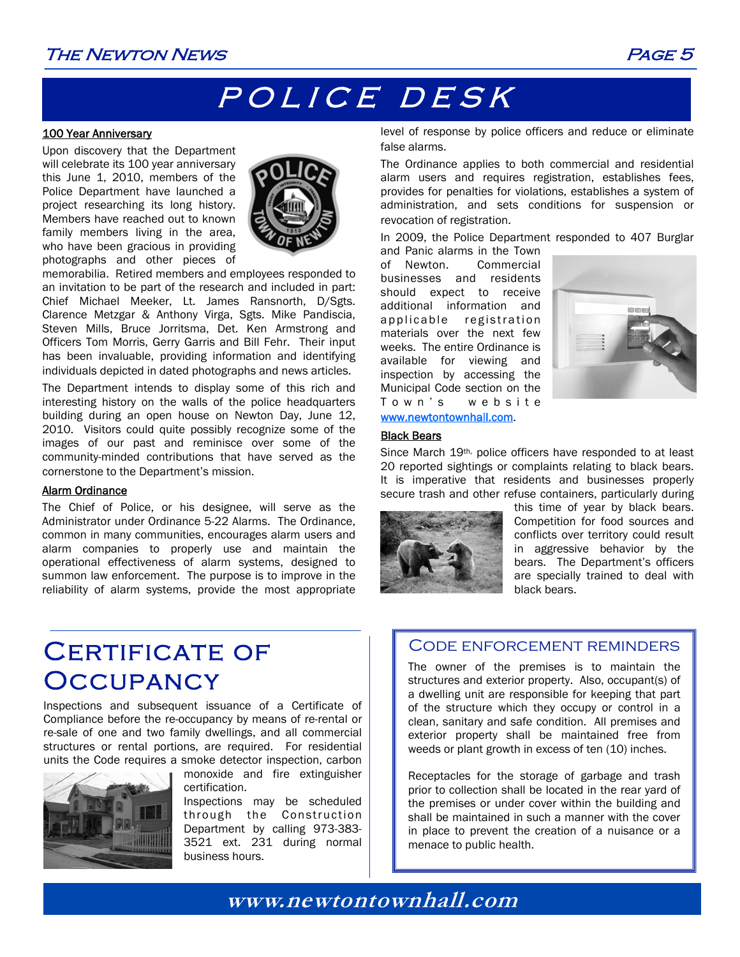### The Newton News Page 5

## POLICE DESK

#### 100 Year Anniversary

Upon discovery that the Department will celebrate its 100 year anniversary this June 1, 2010, members of the Police Department have launched a project researching its long history. Members have reached out to known family members living in the area, who have been gracious in providing photographs and other pieces of



memorabilia. Retired members and employees responded to an invitation to be part of the research and included in part: Chief Michael Meeker, Lt. James Ransnorth, D/Sgts. Clarence Metzgar & Anthony Virga, Sgts. Mike Pandiscia, Steven Mills, Bruce Jorritsma, Det. Ken Armstrong and Officers Tom Morris, Gerry Garris and Bill Fehr. Their input has been invaluable, providing information and identifying individuals depicted in dated photographs and news articles.

The Department intends to display some of this rich and interesting history on the walls of the police headquarters building during an open house on Newton Day, June 12, 2010. Visitors could quite possibly recognize some of the images of our past and reminisce over some of the community-minded contributions that have served as the cornerstone to the Department's mission.

#### Alarm Ordinance

The Chief of Police, or his designee, will serve as the Administrator under Ordinance 5-22 Alarms. The Ordinance, common in many communities, encourages alarm users and alarm companies to properly use and maintain the operational effectiveness of alarm systems, designed to summon law enforcement. The purpose is to improve in the reliability of alarm systems, provide the most appropriate level of response by police officers and reduce or eliminate false alarms.

The Ordinance applies to both commercial and residential alarm users and requires registration, establishes fees, provides for penalties for violations, establishes a system of administration, and sets conditions for suspension or revocation of registration.

In 2009, the Police Department responded to 407 Burglar and Panic alarms in the Town

of Newton. Commercial businesses and residents should expect to receive additional information and applicable registration materials over the next few weeks. The entire Ordinance is available for viewing and inspection by accessing the Municipal Code section on the T o w n ' s w e b s i t e www.newtontownhall.com.



#### Black Bears

Since March 19th, police officers have responded to at least 20 reported sightings or complaints relating to black bears. It is imperative that residents and businesses properly secure trash and other refuse containers, particularly during



this time of year by black bears. Competition for food sources and conflicts over territory could result in aggressive behavior by the bears. The Department's officers are specially trained to deal with black bears.

## CERTIFICATE OF **OCCUPANCY**

Inspections and subsequent issuance of a Certificate of Compliance before the re-occupancy by means of re-rental or re-sale of one and two family dwellings, and all commercial structures or rental portions, are required. For residential units the Code requires a smoke detector inspection, carbon



monoxide and fire extinguisher certification.

Inspections may be scheduled through the Construction Department by calling 973-383- 3521 ext. 231 during normal business hours.

### Code enforcement reminders

The owner of the premises is to maintain the structures and exterior property. Also, occupant(s) of a dwelling unit are responsible for keeping that part of the structure which they occupy or control in a clean, sanitary and safe condition. All premises and exterior property shall be maintained free from weeds or plant growth in excess of ten (10) inches.

Receptacles for the storage of garbage and trash prior to collection shall be located in the rear yard of the premises or under cover within the building and shall be maintained in such a manner with the cover in place to prevent the creation of a nuisance or a menace to public health.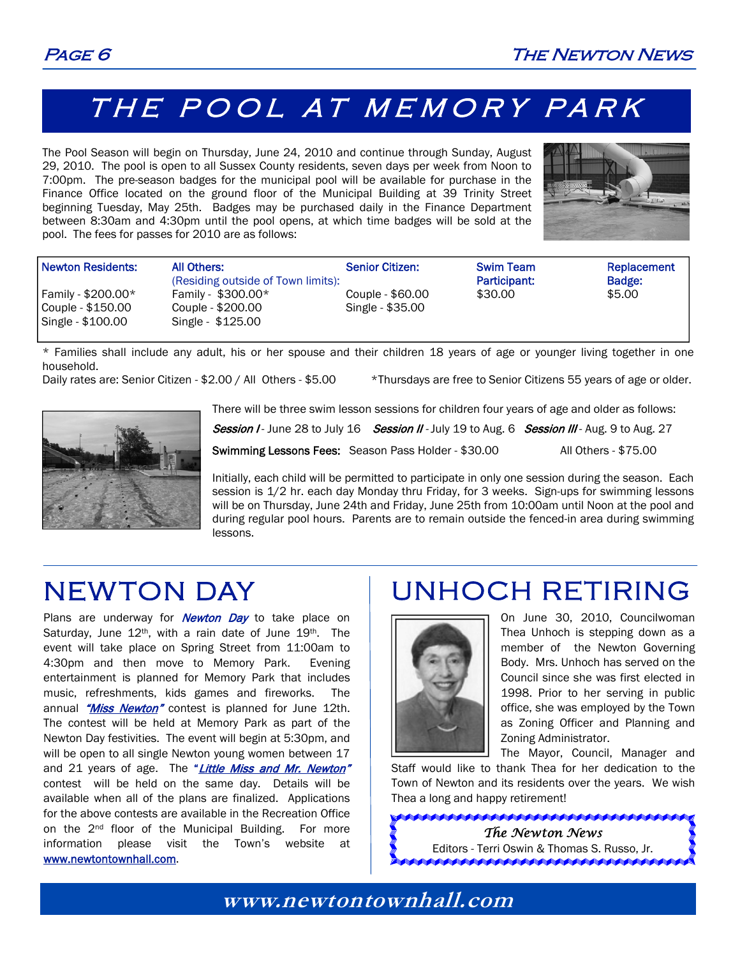## THE POOL AT MEMORY PARK

The Pool Season will begin on Thursday, June 24, 2010 and continue through Sunday, August 29, 2010. The pool is open to all Sussex County residents, seven days per week from Noon to 7:00pm. The pre-season badges for the municipal pool will be available for purchase in the Finance Office located on the ground floor of the Municipal Building at 39 Trinity Street beginning Tuesday, May 25th. Badges may be purchased daily in the Finance Department between 8:30am and 4:30pm until the pool opens, at which time badges will be sold at the pool. The fees for passes for 2010 are as follows:



| Newton Residents:                                            | All Others:<br>(Residing outside of Town limits):             | <b>Senior Citizen:</b>               | <b>Swim Team</b><br>Participant: | Replacement<br>Badge: |
|--------------------------------------------------------------|---------------------------------------------------------------|--------------------------------------|----------------------------------|-----------------------|
| Family - \$200.00*<br>Couple - \$150.00<br>Single - \$100.00 | Family - $$300.00*$<br>Couple - \$200.00<br>Single - \$125.00 | Couple - \$60.00<br>Single - \$35.00 | \$30.00                          | \$5.00                |

\* Families shall include any adult, his or her spouse and their children 18 years of age or younger living together in one household.

Daily rates are: Senior Citizen - \$2.00 / All Others - \$5.00 \*Thursdays are free to Senior Citizens 55 years of age or older.



There will be three swim lesson sessions for children four years of age and older as follows:

Session I - June 28 to July 16 Session II - July 19 to Aug. 6 Session III - Aug. 9 to Aug. 27

Swimming Lessons Fees: Season Pass Holder - \$30.00 All Others - \$75.00

Initially, each child will be permitted to participate in only one session during the season. Each session is 1/2 hr. each day Monday thru Friday, for 3 weeks. Sign-ups for swimming lessons will be on Thursday, June 24th and Friday, June 25th from 10:00am until Noon at the pool and during regular pool hours. Parents are to remain outside the fenced-in area during swimming lessons.

## NEWTON DAY

Plans are underway for **Newton Day** to take place on Saturday, June 12<sup>th</sup>, with a rain date of June 19<sup>th</sup>. The event will take place on Spring Street from 11:00am to 4:30pm and then move to Memory Park. Evening entertainment is planned for Memory Park that includes music, refreshments, kids games and fireworks. The annual "Miss Newton" contest is planned for June 12th. The contest will be held at Memory Park as part of the Newton Day festivities. The event will begin at 5:30pm, and will be open to all single Newton young women between 17 and 21 years of age. The "*Little Miss and Mr. Newton"* contest will be held on the same day. Details will be available when all of the plans are finalized. Applications for the above contests are available in the Recreation Office on the 2<sup>nd</sup> floor of the Municipal Building. For more information please visit the Town's website at www.newtontownhall.com.

## UNHOCH RETIRING



On June 30, 2010, Councilwoman Thea Unhoch is stepping down as a member of the Newton Governing Body. Mrs. Unhoch has served on the Council since she was first elected in 1998. Prior to her serving in public office, she was employed by the Town as Zoning Officer and Planning and Zoning Administrator.

The Mayor, Council, Manager and

Staff would like to thank Thea for her dedication to the Town of Newton and its residents over the years. We wish Thea a long and happy retirement!

> *The Newton News*  Editors - Terri Oswin & Thomas S. Russo, Jr.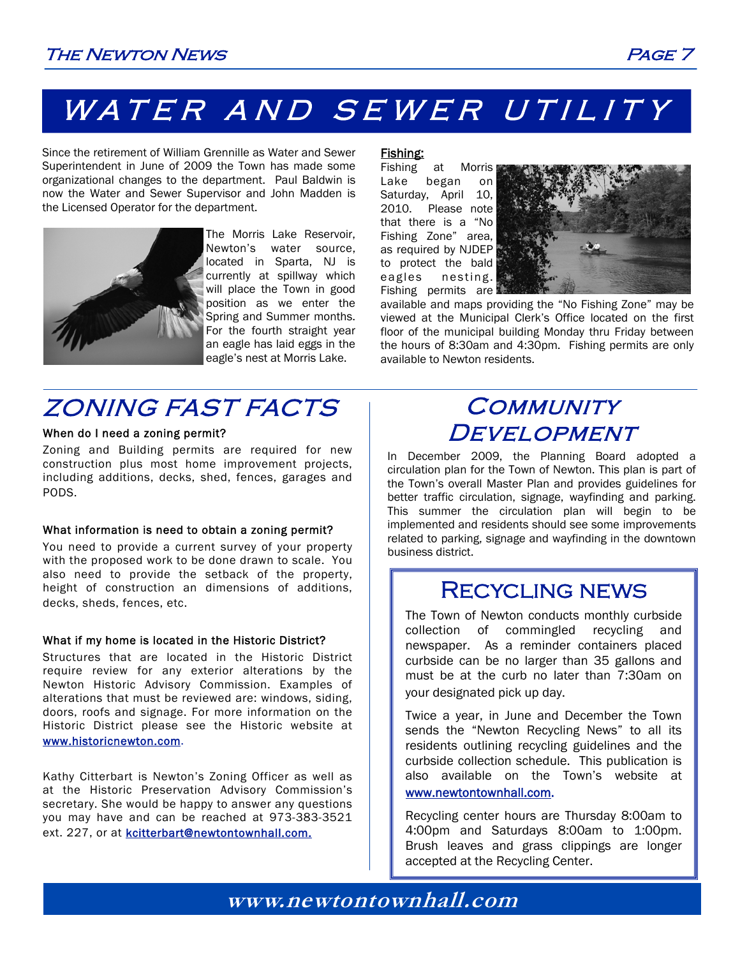# WATER AND SEWER UTILITY

Since the retirement of William Grennille as Water and Sewer Superintendent in June of 2009 the Town has made some organizational changes to the department. Paul Baldwin is now the Water and Sewer Supervisor and John Madden is the Licensed Operator for the department.



The Morris Lake Reservoir, Newton's water source, located in Sparta, NJ is currently at spillway which will place the Town in good position as we enter the Spring and Summer months. For the fourth straight year an eagle has laid eggs in the eagle's nest at Morris Lake.

### Fishing:

Fishing at Morris Lake began on Saturday, April 10, 2010. Please note that there is a "No Fishing Zone" area, as required by NJDEP to protect the bald eagles nesting. Fishing permits are



available and maps providing the "No Fishing Zone" may be viewed at the Municipal Clerk's Office located on the first floor of the municipal building Monday thru Friday between the hours of 8:30am and 4:30pm. Fishing permits are only available to Newton residents.

## ZONING FAST FACTS

### When do I need a zoning permit?

Zoning and Building permits are required for new construction plus most home improvement projects, including additions, decks, shed, fences, garages and PODS.

### What information is need to obtain a zoning permit?

You need to provide a current survey of your property with the proposed work to be done drawn to scale. You also need to provide the setback of the property, height of construction an dimensions of additions, decks, sheds, fences, etc.

### What if my home is located in the Historic District?

Structures that are located in the Historic District require review for any exterior alterations by the Newton Historic Advisory Commission. Examples of alterations that must be reviewed are: windows, siding, doors, roofs and signage. For more information on the Historic District please see the Historic website at www.historicnewton.com.

Kathy Citterbart is Newton's Zoning Officer as well as at the Historic Preservation Advisory Commission's secretary. She would be happy to answer any questions you may have and can be reached at 973-383-3521 ext. 227, or at kcitterbart@newtontownhall.com.

### **COMMUNITY DEVELOPMENT**

In December 2009, the Planning Board adopted a circulation plan for the Town of Newton. This plan is part of the Town's overall Master Plan and provides guidelines for better traffic circulation, signage, wayfinding and parking. This summer the circulation plan will begin to be implemented and residents should see some improvements related to parking, signage and wayfinding in the downtown business district.

### Recycling news

The Town of Newton conducts monthly curbside collection of commingled recycling and newspaper. As a reminder containers placed curbside can be no larger than 35 gallons and must be at the curb no later than 7:30am on your designated pick up day.

Twice a year, in June and December the Town sends the "Newton Recycling News" to all its residents outlining recycling guidelines and the curbside collection schedule. This publication is also available on the Town's website at www.newtontownhall.com.

Recycling center hours are Thursday 8:00am to 4:00pm and Saturdays 8:00am to 1:00pm. Brush leaves and grass clippings are longer accepted at the Recycling Center.